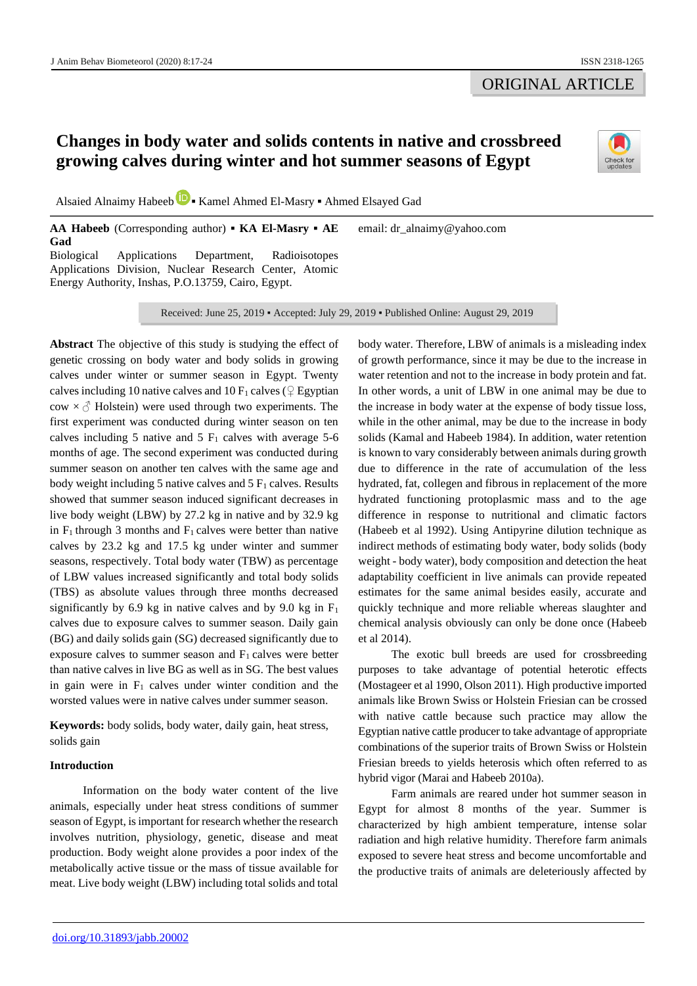## ORIGINAL ARTICLE

# **Changes in body water and solids contents in native and crossbreed growing calves during winter and hot summer seasons of Egypt**



Alsaied Alnaimy Habeeb **▪** Kamel Ahmed El-Masry **▪** Ahmed Elsayed Gad

**AA Habeeb** (Corresponding author) **▪ KA El-Masry ▪ AE Gad** Biological Applications Department, Radioisotopes Applications Division, Nuclear Research Center, Atomic Energy Authority, Inshas, P.O.13759, Cairo, Egypt. email: dr\_alnaimy@yahoo.com

Received: June 25, 2019 ▪ Accepted: July 29, 2019 ▪ Published Online: August 29, 2019

**Abstract** The objective of this study is studying the effect of genetic crossing on body water and body solids in growing calves under winter or summer season in Egypt. Twenty calves including 10 native calves and 10  $F_1$  calves ( $\mathcal{Q}$  Egyptian  $\text{cow} \times \text{C}$  Holstein) were used through two experiments. The first experiment was conducted during winter season on ten calves including 5 native and 5  $F_1$  calves with average 5-6 months of age. The second experiment was conducted during summer season on another ten calves with the same age and body weight including 5 native calves and  $5 F<sub>1</sub>$  calves. Results showed that summer season induced significant decreases in live body weight (LBW) by 27.2 kg in native and by 32.9 kg in  $F_1$  through 3 months and  $F_1$  calves were better than native calves by 23.2 kg and 17.5 kg under winter and summer seasons, respectively. Total body water (TBW) as percentage of LBW values increased significantly and total body solids (TBS) as absolute values through three months decreased significantly by 6.9 kg in native calves and by 9.0 kg in  $F_1$ calves due to exposure calves to summer season. Daily gain (BG) and daily solids gain (SG) decreased significantly due to exposure calves to summer season and  $F_1$  calves were better than native calves in live BG as well as in SG. The best values in gain were in  $F_1$  calves under winter condition and the worsted values were in native calves under summer season.

**Keywords:** body solids, body water, daily gain, heat stress, solids gain

## **Introduction**

Information on the body water content of the live animals, especially under heat stress conditions of summer season of Egypt, is important for research whether the research involves nutrition, physiology, genetic, disease and meat production. Body weight alone provides a poor index of the metabolically active tissue or the mass of tissue available for meat. Live body weight (LBW) including total solids and total body water. Therefore, LBW of animals is a misleading index of growth performance, since it may be due to the increase in water retention and not to the increase in body protein and fat. In other words, a unit of LBW in one animal may be due to the increase in body water at the expense of body tissue loss, while in the other animal, may be due to the increase in body solids (Kamal and Habeeb 1984). In addition, water retention is known to vary considerably between animals during growth due to difference in the rate of accumulation of the less hydrated, fat, collegen and fibrous in replacement of the more hydrated functioning protoplasmic mass and to the age difference in response to nutritional and climatic factors (Habeeb et al 1992). Using Antipyrine dilution technique as indirect methods of estimating body water, body solids (body weight - body water), body composition and detection the heat adaptability coefficient in live animals can provide repeated estimates for the same animal besides easily, accurate and quickly technique and more reliable whereas slaughter and chemical analysis obviously can only be done once (Habeeb et al 2014).

The exotic bull breeds are used for crossbreeding purposes to take advantage of potential heterotic effects (Mostageer et al 1990, Olson 2011). High productive imported animals like Brown Swiss or Holstein Friesian can be crossed with native cattle because such practice may allow the Egyptian native cattle producer to take advantage of appropriate combinations of the superior traits of Brown Swiss or Holstein Friesian breeds to yields heterosis which often referred to as hybrid vigor (Marai and Habeeb 2010a).

Farm animals are reared under hot summer season in Egypt for almost 8 months of the year. Summer is characterized by high ambient temperature, intense solar radiation and high relative humidity. Therefore farm animals exposed to severe heat stress and become uncomfortable and the productive traits of animals are deleteriously affected by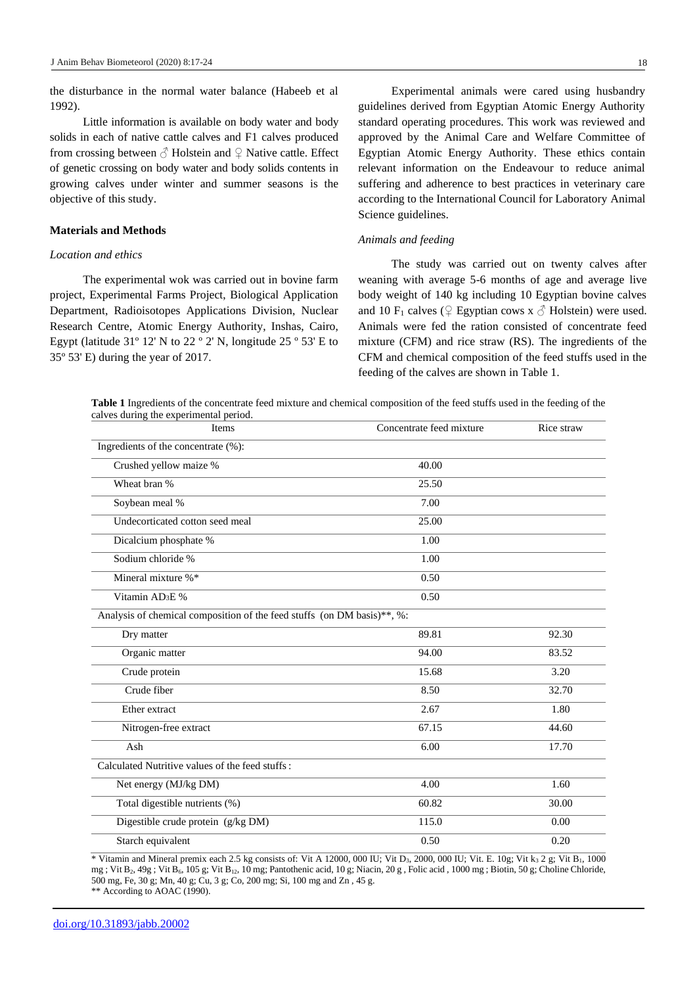the disturbance in the normal water balance (Habeeb et al 1992).

Little information is available on body water and body solids in each of native cattle calves and F1 calves produced from crossing between  $\Diamond$  Holstein and  $\Diamond$  Native cattle. Effect of genetic crossing on body water and body solids contents in growing calves under winter and summer seasons is the objective of this study.

#### **Materials and Methods**

#### *Location and ethics*

The experimental wok was carried out in bovine farm project, Experimental Farms Project, Biological Application Department, Radioisotopes Applications Division, Nuclear Research Centre, Atomic Energy Authority, Inshas, Cairo, Egypt (latitude 31º 12' N to 22 º 2' N, longitude 25 º 53' E to 35º 53' E) during the year of 2017.

Experimental animals were cared using husbandry guidelines derived from Egyptian Atomic Energy Authority standard operating procedures. This work was reviewed and approved by the Animal Care and Welfare Committee of Egyptian Atomic Energy Authority. These ethics contain relevant information on the Endeavour to reduce animal suffering and adherence to best practices in veterinary care according to the International Council for Laboratory Animal Science guidelines.

#### *Animals and feeding*

The study was carried out on twenty calves after weaning with average 5-6 months of age and average live body weight of 140 kg including 10 Egyptian bovine calves and 10 F<sub>1</sub> calves ( $\mathcal{Q}$  Egyptian cows x  $\mathcal{A}$  Holstein) were used. Animals were fed the ration consisted of concentrate feed mixture (CFM) and rice straw (RS). The ingredients of the CFM and chemical composition of the feed stuffs used in the feeding of the calves are shown in Table 1.

**Table 1** Ingredients of the concentrate feed mixture and chemical composition of the feed stuffs used in the feeding of the calves during the experimental period.

| Items                                                                   | Concentrate feed mixture | Rice straw |  |  |  |
|-------------------------------------------------------------------------|--------------------------|------------|--|--|--|
| Ingredients of the concentrate (%):                                     |                          |            |  |  |  |
| Crushed yellow maize %                                                  | 40.00                    |            |  |  |  |
| Wheat bran %                                                            | 25.50                    |            |  |  |  |
| Soybean meal %                                                          | 7.00                     |            |  |  |  |
| Undecorticated cotton seed meal                                         | 25.00                    |            |  |  |  |
| Dicalcium phosphate %                                                   | 1.00                     |            |  |  |  |
| Sodium chloride %                                                       | 1.00                     |            |  |  |  |
| Mineral mixture %*                                                      | 0.50                     |            |  |  |  |
| Vitamin AD <sub>3</sub> E %                                             | 0.50                     |            |  |  |  |
| Analysis of chemical composition of the feed stuffs (on DM basis)**, %: |                          |            |  |  |  |
| Dry matter                                                              | 89.81                    | 92.30      |  |  |  |
| Organic matter                                                          | 94.00                    | 83.52      |  |  |  |
| Crude protein                                                           | 15.68                    | 3.20       |  |  |  |
| Crude fiber                                                             | 8.50                     | 32.70      |  |  |  |
| Ether extract                                                           | 2.67                     | 1.80       |  |  |  |
| Nitrogen-free extract                                                   | 67.15                    | 44.60      |  |  |  |
| Ash                                                                     | 6.00                     | 17.70      |  |  |  |
| Calculated Nutritive values of the feed stuffs:                         |                          |            |  |  |  |
| Net energy (MJ/kg DM)                                                   | 4.00                     | 1.60       |  |  |  |
| Total digestible nutrients (%)                                          | 60.82                    | 30.00      |  |  |  |
| Digestible crude protein (g/kg DM)                                      | 115.0                    | 0.00       |  |  |  |
| Starch equivalent                                                       | 0.50                     | 0.20       |  |  |  |

\* Vitamin and Mineral premix each 2.5 kg consists of: Vit A 12000, 000 IU; Vit D<sub>3</sub>, 2000, 000 IU; Vit. E. 10g; Vit k<sub>3</sub> 2 g; Vit B<sub>1</sub>, 1000 mg ; Vit B<sub>2</sub>, 49g ; Vit B<sub>6</sub>, 105 g; Vit B<sub>12</sub>, 10 mg; Pantothenic acid, 10 g; Niacin, 20 g, Folic acid, 1000 mg ; Biotin, 50 g; Choline Chloride, 500 mg, Fe, 30 g; Mn, 40 g; Cu, 3 g; Co, 200 mg; Si, 100 mg and Zn , 45 g.

\*\* According to AOAC (1990).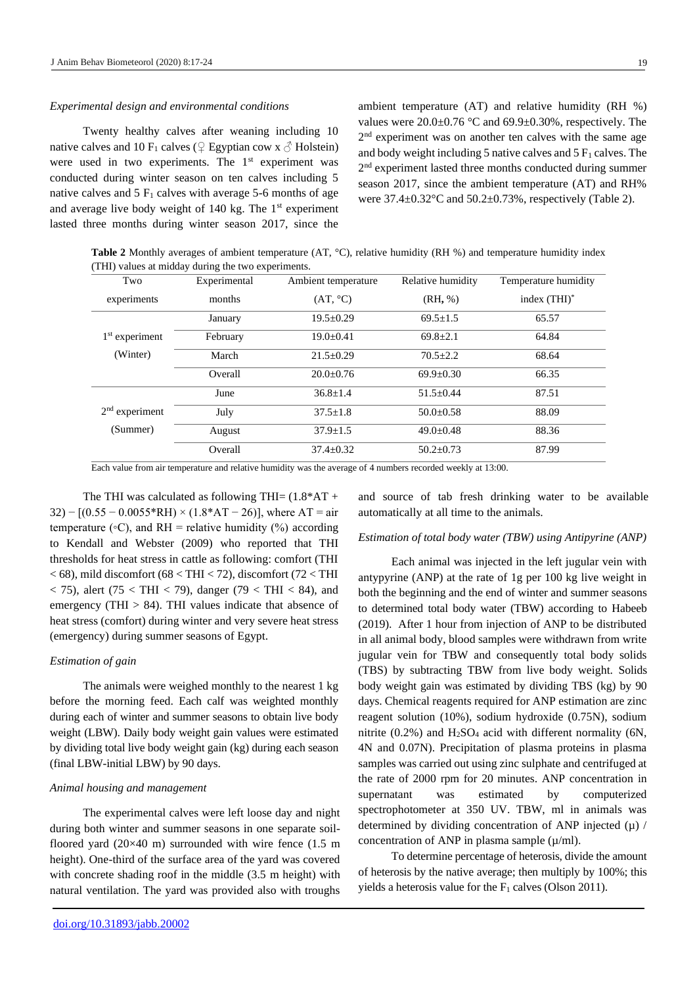#### *Experimental design and environmental conditions*

Twenty healthy calves after weaning including 10 native calves and 10 F<sub>1</sub> calves ( $\frac{1}{2}$  Egyptian cow x  $\delta$  Holstein) were used in two experiments. The 1<sup>st</sup> experiment was conducted during winter season on ten calves including 5 native calves and  $5 \mathrm{F}_1$  calves with average 5-6 months of age and average live body weight of 140 kg. The 1<sup>st</sup> experiment lasted three months during winter season 2017, since the

ambient temperature (AT) and relative humidity (RH %) values were 20.0±0.76 °C and 69.9±0.30%, respectively. The 2<sup>nd</sup> experiment was on another ten calves with the same age and body weight including 5 native calves and  $5 F<sub>1</sub>$  calves. The 2 nd experiment lasted three months conducted during summer season 2017, since the ambient temperature (AT) and RH% were  $37.4\pm0.32^{\circ}$ C and  $50.2\pm0.73$ %, respectively (Table 2).

**Table 2** Monthly averages of ambient temperature (AT, °C), relative humidity (RH %) and temperature humidity index (THI) values at midday during the two experiments.

| Two              | Experimental | Ambient temperature | Relative humidity | Temperature humidity |
|------------------|--------------|---------------------|-------------------|----------------------|
| experiments      | months       | (AT, °C)            | (RH, %)           | index $(THI)^*$      |
|                  | January      | $19.5 \pm 0.29$     | $69.5 + 1.5$      | 65.57                |
| $1st$ experiment | February     | $19.0 \pm 0.41$     | $69.8 \pm 2.1$    | 64.84                |
| (Winter)         | March        | $21.5 \pm 0.29$     | $70.5 \pm 2.2$    | 68.64                |
|                  | Overall      | $20.0+0.76$         | $69.9 + 0.30$     | 66.35                |
|                  | June         | $36.8 + 1.4$        | $51.5+0.44$       | 87.51                |
| $2nd$ experiment | July         | $37.5 + 1.8$        | $50.0 \pm 0.58$   | 88.09                |
| (Summer)         | August       | $37.9 \pm 1.5$      | $49.0 \pm 0.48$   | 88.36                |
|                  | Overall      | $37.4 \pm 0.32$     | $50.2 \pm 0.73$   | 87.99                |

Each value from air temperature and relative humidity was the average of 4 numbers recorded weekly at 13:00.

The THI was calculated as following THI=  $(1.8*AT +$ 32) –  $[(0.55 - 0.0055*RH) \times (1.8*AT - 26)]$ , where AT = air temperature ( $\circ$ C), and RH = relative humidity (%) according to Kendall and Webster (2009) who reported that THI thresholds for heat stress in cattle as following: comfort (THI  $<$  68), mild discomfort (68  $<$  THI  $<$  72), discomfort (72  $<$  THI < 75), alert (75 < THI < 79), danger (79 < THI < 84), and emergency (THI  $> 84$ ). THI values indicate that absence of heat stress (comfort) during winter and very severe heat stress (emergency) during summer seasons of Egypt.

#### *Estimation of gain*

The animals were weighed monthly to the nearest 1 kg before the morning feed. Each calf was weighted monthly during each of winter and summer seasons to obtain live body weight (LBW). Daily body weight gain values were estimated by dividing total live body weight gain (kg) during each season (final LBW-initial LBW) by 90 days.

#### *Animal housing and management*

The experimental calves were left loose day and night during both winter and summer seasons in one separate soilfloored yard  $(20\times40 \text{ m})$  surrounded with wire fence  $(1.5 \text{ m})$ height). One-third of the surface area of the yard was covered with concrete shading roof in the middle (3.5 m height) with natural ventilation. The yard was provided also with troughs and source of tab fresh drinking water to be available automatically at all time to the animals.

#### *Estimation of total body water (TBW) using Antipyrine (ANP)*

Each animal was injected in the left jugular vein with antypyrine (ANP) at the rate of 1g per 100 kg live weight in both the beginning and the end of winter and summer seasons to determined total body water (TBW) according to Habeeb (2019). After 1 hour from injection of ANP to be distributed in all animal body, blood samples were withdrawn from write jugular vein for TBW and consequently total body solids (TBS) by subtracting TBW from live body weight. Solids body weight gain was estimated by dividing TBS (kg) by 90 days. Chemical reagents required for ANP estimation are zinc reagent solution (10%), sodium hydroxide (0.75N), sodium nitrite  $(0.2\%)$  and  $H_2SO_4$  acid with different normality (6N, 4N and 0.07N). Precipitation of plasma proteins in plasma samples was carried out using zinc sulphate and centrifuged at the rate of 2000 rpm for 20 minutes. ANP concentration in supernatant was estimated by computerized spectrophotometer at 350 UV. TBW, ml in animals was determined by dividing concentration of ANP injected  $(\mu)$  / concentration of ANP in plasma sample  $(\mu/m)$ .

To determine percentage of heterosis, divide the amount of heterosis by the native average; then multiply by 100%; this yields a heterosis value for the  $F_1$  calves (Olson 2011).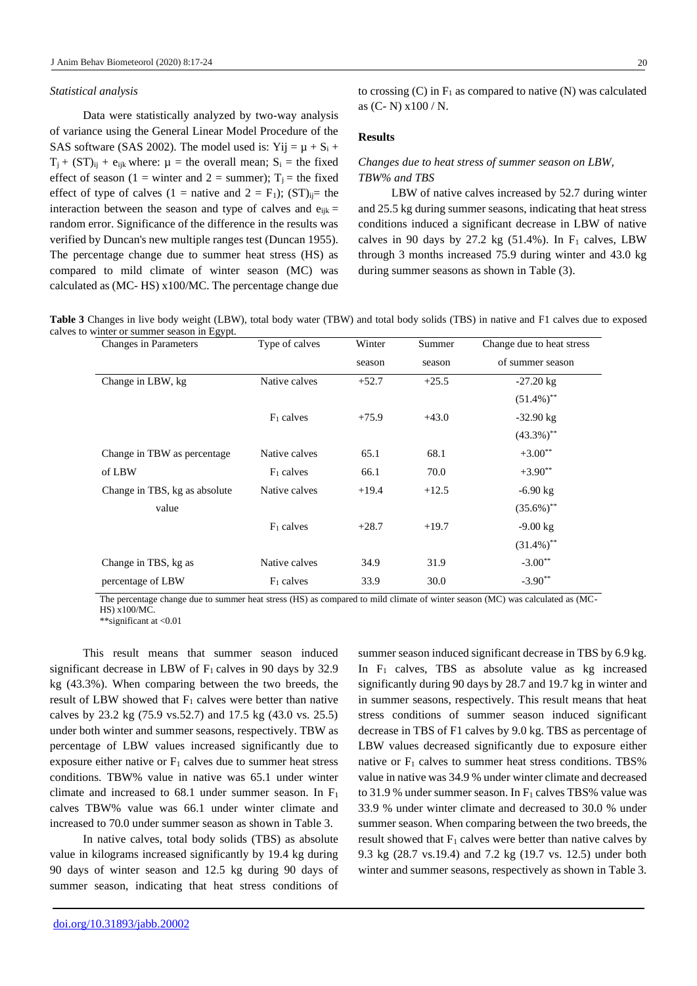#### *Statistical analysis*

Data were statistically analyzed by two-way analysis of variance using the General Linear Model Procedure of the SAS software (SAS 2002). The model used is: Yij =  $\mu$  + S<sub>i</sub> +  $T_i + (ST)_{ii} + e_{iik}$  where:  $\mu$  = the overall mean;  $S_i$  = the fixed effect of season (1 = winter and 2 = summer);  $T_i$  = the fixed effect of type of calves (1 = native and 2 = F<sub>1</sub>); (ST)<sub>ij</sub>= the interaction between the season and type of calves and  $e_{ijk}$  = random error. Significance of the difference in the results was verified by Duncan's new multiple ranges test (Duncan 1955). The percentage change due to summer heat stress (HS) as compared to mild climate of winter season (MC) was calculated as (MC- HS) x100/MC. The percentage change due

to crossing  $(C)$  in  $F_1$  as compared to native  $(N)$  was calculated as (C- N) x100 / N.

### **Results**

## *Changes due to heat stress of summer season on LBW, TBW% and TBS*

LBW of native calves increased by 52.7 during winter and 25.5 kg during summer seasons, indicating that heat stress conditions induced a significant decrease in LBW of native calves in 90 days by 27.2 kg  $(51.4\%)$ . In F<sub>1</sub> calves, LBW through 3 months increased 75.9 during winter and 43.0 kg during summer seasons as shown in Table (3).

**Table 3** Changes in live body weight (LBW), total body water (TBW) and total body solids (TBS) in native and F1 calves due to exposed calves to winter or summer season in Egypt.

| Changes in Parameters         | Type of calves | Winter  | Summer  | Change due to heat stress |
|-------------------------------|----------------|---------|---------|---------------------------|
|                               |                | season  | season  | of summer season          |
| Change in LBW, kg             | Native calves  | $+52.7$ | $+25.5$ | $-27.20 \text{ kg}$       |
|                               |                |         |         | $(51.4\%)$ <sup>**</sup>  |
|                               | $F_1$ calves   | $+75.9$ | $+43.0$ | $-32.90$ kg               |
|                               |                |         |         | $(43.3\%)$ <sup>**</sup>  |
| Change in TBW as percentage   | Native calves  | 65.1    | 68.1    | $+3.00**$                 |
| of LBW                        | $F_1$ calves   | 66.1    | 70.0    | $+3.90**$                 |
| Change in TBS, kg as absolute | Native calves  | $+19.4$ | $+12.5$ | $-6.90 \text{ kg}$        |
| value                         |                |         |         | $(35.6\%)$ <sup>**</sup>  |
|                               | $F_1$ calves   | $+28.7$ | $+19.7$ | $-9.00 \text{ kg}$        |
|                               |                |         |         | $(31.4\%)$ <sup>**</sup>  |
| Change in TBS, kg as          | Native calves  | 34.9    | 31.9    | $-3.00**$                 |
| percentage of LBW             | $F_1$ calves   | 33.9    | 30.0    | $-3.90**$                 |

The percentage change due to summer heat stress (HS) as compared to mild climate of winter season (MC) was calculated as (MC-HS) x100/MC.

\*\*significant at <0.01

This result means that summer season induced significant decrease in LBW of  $F_1$  calves in 90 days by 32.9 kg (43.3%). When comparing between the two breeds, the result of LBW showed that  $F_1$  calves were better than native calves by 23.2 kg (75.9 vs.52.7) and 17.5 kg (43.0 vs. 25.5) under both winter and summer seasons, respectively. TBW as percentage of LBW values increased significantly due to exposure either native or  $F_1$  calves due to summer heat stress conditions. TBW% value in native was 65.1 under winter climate and increased to  $68.1$  under summer season. In  $F_1$ calves TBW% value was 66.1 under winter climate and increased to 70.0 under summer season as shown in Table 3.

In native calves, total body solids (TBS) as absolute value in kilograms increased significantly by 19.4 kg during 90 days of winter season and 12.5 kg during 90 days of summer season, indicating that heat stress conditions of summer season induced significant decrease in TBS by 6.9 kg. In  $F_1$  calves, TBS as absolute value as kg increased significantly during 90 days by 28.7 and 19.7 kg in winter and in summer seasons, respectively. This result means that heat stress conditions of summer season induced significant decrease in TBS of F1 calves by 9.0 kg. TBS as percentage of LBW values decreased significantly due to exposure either native or  $F_1$  calves to summer heat stress conditions. TBS% value in native was 34.9 % under winter climate and decreased to 31.9 % under summer season. In  $F_1$  calves TBS% value was 33.9 % under winter climate and decreased to 30.0 % under summer season. When comparing between the two breeds, the result showed that  $F_1$  calves were better than native calves by 9.3 kg (28.7 vs.19.4) and 7.2 kg (19.7 vs. 12.5) under both winter and summer seasons, respectively as shown in Table 3.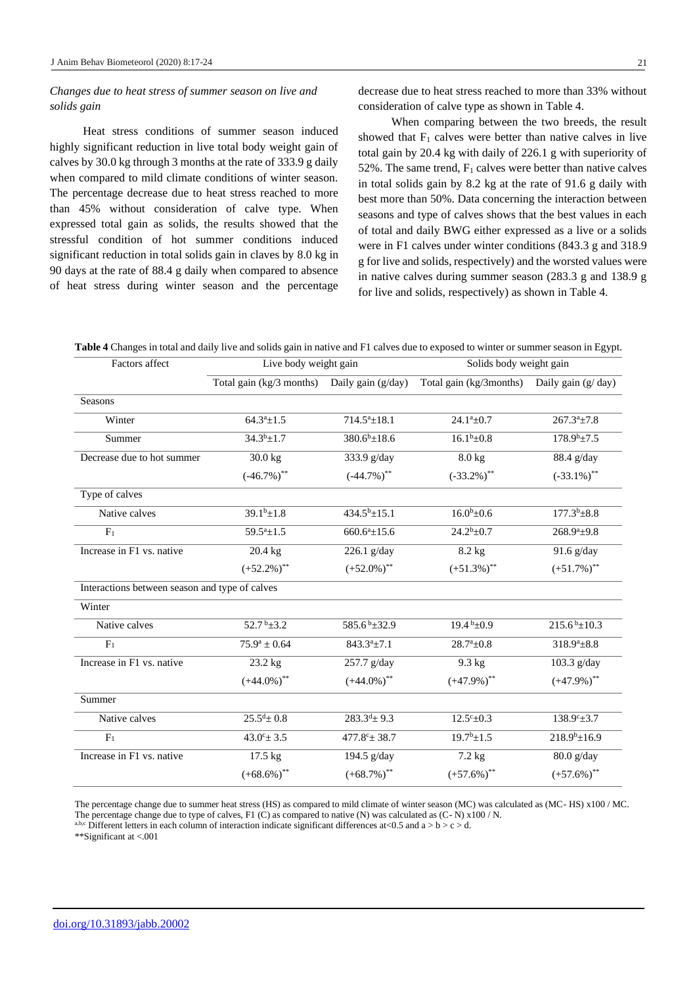## *Changes due to heat stress of summer season on live and solids gain*

Heat stress conditions of summer season induced highly significant reduction in live total body weight gain of calves by 30.0 kg through 3 months at the rate of 333.9 g daily when compared to mild climate conditions of winter season. The percentage decrease due to heat stress reached to more than 45% without consideration of calve type. When expressed total gain as solids, the results showed that the stressful condition of hot summer conditions induced significant reduction in total solids gain in claves by 8.0 kg in 90 days at the rate of 88.4 g daily when compared to absence of heat stress during winter season and the percentage

decrease due to heat stress reached to more than 33% without consideration of calve type as shown in Table 4.

When comparing between the two breeds, the result showed that  $F_1$  calves were better than native calves in live total gain by 20.4 kg with daily of 226.1 g with superiority of 52%. The same trend,  $F_1$  calves were better than native calves in total solids gain by 8.2 kg at the rate of 91.6 g daily with best more than 50%. Data concerning the interaction between seasons and type of calves shows that the best values in each of total and daily BWG either expressed as a live or a solids were in F1 calves under winter conditions (843.3 g and 318.9 g for live and solids, respectively) and the worsted values were in native calves during summer season (283.3 g and 138.9 g for live and solids, respectively) as shown in Table 4.

**Table 4** Changes in total and daily live and solids gain in native and F1 calves due to exposed to winter or summer season in Egypt.

| Factors affect                                 | Live body weight gain                       |                               | Solids body weight gain    |                           |  |
|------------------------------------------------|---------------------------------------------|-------------------------------|----------------------------|---------------------------|--|
|                                                | Total gain $\overline{\text{kg}}/3$ months) | Daily gain (g/day)            | Total gain $(kg/3$ months) | Daily gain $(g/day)$      |  |
| Seasons                                        |                                             |                               |                            |                           |  |
| Winter                                         | $64.3^a \pm 1.5$                            | $714.5^a \pm 18.1$            | $24.1^a \pm 0.7$           | $267.3^a \pm 7.8$         |  |
| Summer                                         | $34.3^{b} \pm 1.7$                          | $380.6^b \pm 18.6$            | $16.1^b \pm 0.8$           | $178.9b\pm7.5$            |  |
| Decrease due to hot summer                     | 30.0 kg                                     | 333.9 g/day                   | 8.0 kg                     | 88.4 g/day                |  |
|                                                | $(-46.7\%)$ <sup>**</sup>                   | $(-44.7\%)$ <sup>**</sup>     | $(-33.2\%)$ **             | $(-33.1\%)$ **            |  |
| Type of calves                                 |                                             |                               |                            |                           |  |
| Native calves                                  | $39.1b\pm1.8$                               | $434.5^b \pm 15.1$            | $16.0^{\rm b}$ ±0.6        | $177.3^{b} \pm 8.8$       |  |
| F <sub>1</sub>                                 | $59.5^a \pm 1.5$                            | $660.6^a \pm 15.6$            | $24.2^b \pm 0.7$           | $268.9^a \pm 9.8$         |  |
| Increase in F1 vs. native                      | 20.4 kg                                     | $226.1$ g/day                 | 8.2 kg                     | 91.6 g/day                |  |
|                                                | $(+52.2\%)$ <sup>**</sup>                   | $(+52.0\%)$ <sup>**</sup>     | $(+51.3\%)$ <sup>**</sup>  | $(+51.7\%)$ <sup>**</sup> |  |
| Interactions between season and type of calves |                                             |                               |                            |                           |  |
| Winter                                         |                                             |                               |                            |                           |  |
| Native calves                                  | 52.7 $b_{\pm}$ 3.2                          | 585.6 <sup>b</sup> $\pm$ 32.9 | $19.4b \pm 0.9$            | $215.6^{b} \pm 10.3$      |  |
| F <sub>1</sub>                                 | $75.9^a \pm 0.64$                           | $843.3^a \pm 7.1$             | $28.7^a \pm 0.8$           | $318.9^a \pm 8.8$         |  |
| Increase in F1 vs. native                      | 23.2 kg                                     | 257.7 g/day                   | $9.3$ kg                   | 103.3 g/day               |  |
|                                                | $(+44.0\%)$ <sup>**</sup>                   | $(+44.0\%)$ <sup>**</sup>     | $(+47.9\%)$ <sup>**</sup>  | $(+47.9\%)$ <sup>**</sup> |  |
| Summer                                         |                                             |                               |                            |                           |  |
| Native calves                                  | $25.5^{\text{d}} \pm 0.8$                   | $283.3^{d} \pm 9.3$           | $12.5^{\circ} \pm 0.3$     | 138.9°±3.7                |  |
| F <sub>1</sub>                                 | $43.0^{\circ}$ ± 3.5                        | $477.8^{\circ}$ ± 38.7        | $19.7^b \pm 1.5$           | $218.9^{b} \pm 16.9$      |  |
| Increase in F1 vs. native                      | 17.5 kg                                     | 194.5 g/day                   | 7.2 kg                     | $80.0$ g/day              |  |
|                                                | $(+68.6\%)$ <sup>**</sup>                   | $(+68.7\%)$ <sup>**</sup>     | $(+57.6\%)$ <sup>**</sup>  | $(+57.6\%)$ <sup>**</sup> |  |

The percentage change due to summer heat stress (HS) as compared to mild climate of winter season (MC) was calculated as (MC- HS) x100 / MC. The percentage change due to type of calves, F1 (C) as compared to native (N) was calculated as  $(C-N) \times 100 / N$ .

a,b,c Different letters in each column of interaction indicate significant differences at <0.5 and a > b > c > d.

\*\*Significant at <.001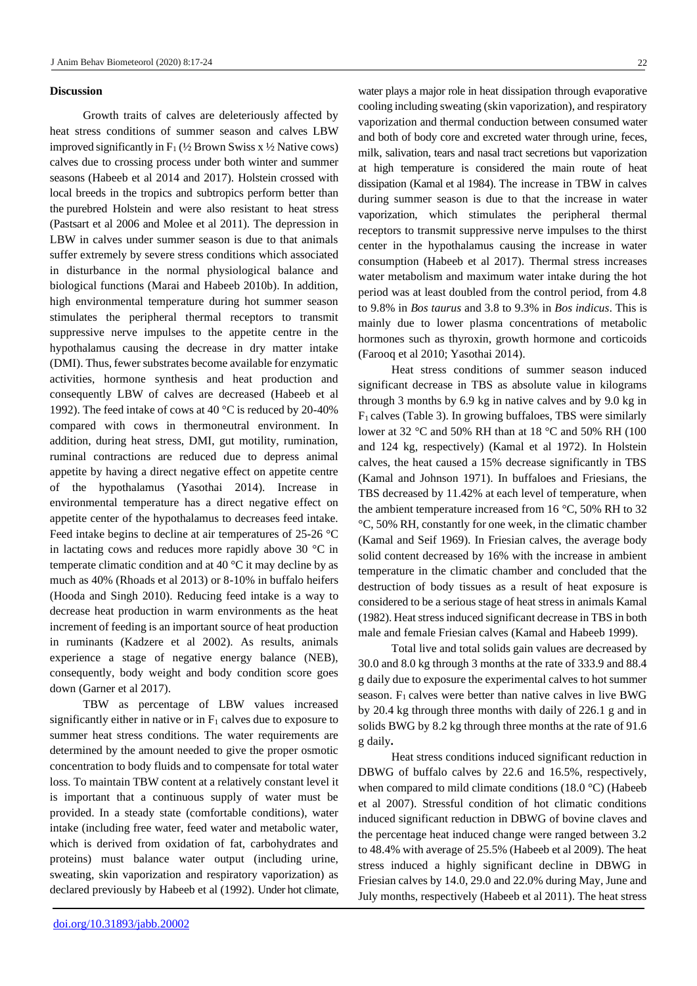#### **Discussion**

Growth traits of calves are deleteriously affected by heat stress conditions of summer season and calves LBW improved significantly in  $F_1$  ( $\frac{1}{2}$  Brown Swiss x  $\frac{1}{2}$  Native cows) calves due to crossing process under both winter and summer seasons (Habeeb et al 2014 and 2017). Holstein crossed with local breeds in the tropics and subtropics perform better than the purebred Holstein and were also resistant to heat stress (Pastsart et al 2006 and Molee et al 2011). The depression in LBW in calves under summer season is due to that animals suffer extremely by severe stress conditions which associated in disturbance in the normal physiological balance and biological functions (Marai and Habeeb 2010b). In addition, high environmental temperature during hot summer season stimulates the peripheral thermal receptors to transmit suppressive nerve impulses to the appetite centre in the hypothalamus causing the decrease in dry matter intake (DMI). Thus, fewer substrates become available for enzymatic activities, hormone synthesis and heat production and consequently LBW of calves are decreased (Habeeb et al 1992). The feed intake of cows at 40 °C is reduced by 20-40% compared with cows in thermoneutral environment. In addition, during heat stress, DMI, gut motility, rumination, ruminal contractions are reduced due to depress animal appetite by having a direct negative effect on appetite centre of the hypothalamus (Yasothai 2014). Increase in environmental temperature has a direct negative effect on appetite center of the hypothalamus to decreases feed intake. Feed intake begins to decline at air temperatures of 25-26 °C in lactating cows and reduces more rapidly above 30 °C in temperate climatic condition and at 40 °C it may decline by as much as 40% (Rhoads et al 2013) or 8-10% in buffalo heifers (Hooda and Singh 2010). Reducing feed intake is a way to decrease heat production in warm environments as the heat increment of feeding is an important source of heat production in ruminants (Kadzere et al 2002). As results, animals experience a stage of negative energy balance (NEB), consequently, body weight and body condition score goes down (Garner et al 2017).

TBW as percentage of LBW values increased significantly either in native or in  $F_1$  calves due to exposure to summer heat stress conditions. The water requirements are determined by the amount needed to give the proper osmotic concentration to body fluids and to compensate for total water loss. To maintain TBW content at a relatively constant level it is important that a continuous supply of water must be provided. In a steady state (comfortable conditions), water intake (including free water, feed water and metabolic water, which is derived from oxidation of fat, carbohydrates and proteins) must balance water output (including urine, sweating, skin vaporization and respiratory vaporization) as declared previously by Habeeb et al (1992). Under hot climate,

water plays a major role in heat dissipation through evaporative cooling including sweating (skin vaporization), and respiratory vaporization and thermal conduction between consumed water and both of body core and excreted water through urine, feces, milk, salivation, tears and nasal tract secretions but vaporization at high temperature is considered the main route of heat dissipation (Kamal et al 1984). The increase in TBW in calves during summer season is due to that the increase in water vaporization, which stimulates the peripheral thermal receptors to transmit suppressive nerve impulses to the thirst center in the hypothalamus causing the increase in water consumption (Habeeb et al 2017). Thermal stress increases water metabolism and maximum water intake during the hot period was at least doubled from the control period, from 4.8 to 9.8% in *Bos taurus* and 3.8 to 9.3% in *Bos indicus*. This is mainly due to lower plasma concentrations of metabolic hormones such as thyroxin, growth hormone and corticoids (Farooq et al 2010; Yasothai 2014).

Heat stress conditions of summer season induced significant decrease in TBS as absolute value in kilograms through 3 months by 6.9 kg in native calves and by 9.0 kg in  $F_1$  calves (Table 3). In growing buffaloes, TBS were similarly lower at 32 °C and 50% RH than at 18 °C and 50% RH (100 and 124 kg, respectively) (Kamal et al 1972). In Holstein calves, the heat caused a 15% decrease significantly in TBS (Kamal and Johnson 1971). In buffaloes and Friesians, the TBS decreased by 11.42% at each level of temperature, when the ambient temperature increased from 16 °C, 50% RH to 32 °C, 50% RH, constantly for one week, in the climatic chamber (Kamal and Seif 1969). In Friesian calves, the average body solid content decreased by 16% with the increase in ambient temperature in the climatic chamber and concluded that the destruction of body tissues as a result of heat exposure is considered to be a serious stage of heat stress in animals Kamal (1982). Heat stress induced significant decrease in TBS in both male and female Friesian calves (Kamal and Habeeb 1999).

Total live and total solids gain values are decreased by 30.0 and 8.0 kg through 3 months at the rate of 333.9 and 88.4 g daily due to exposure the experimental calves to hot summer season.  $F_1$  calves were better than native calves in live BWG by 20.4 kg through three months with daily of 226.1 g and in solids BWG by 8.2 kg through three months at the rate of 91.6 g daily**.**

Heat stress conditions induced significant reduction in DBWG of buffalo calves by 22.6 and 16.5%, respectively, when compared to mild climate conditions (18.0 °C) (Habeeb et al 2007). Stressful condition of hot climatic conditions induced significant reduction in DBWG of bovine claves and the percentage heat induced change were ranged between 3.2 to 48.4% with average of 25.5% (Habeeb et al 2009). The heat stress induced a highly significant decline in DBWG in Friesian calves by 14.0, 29.0 and 22.0% during May, June and July months, respectively (Habeeb et al 2011). The heat stress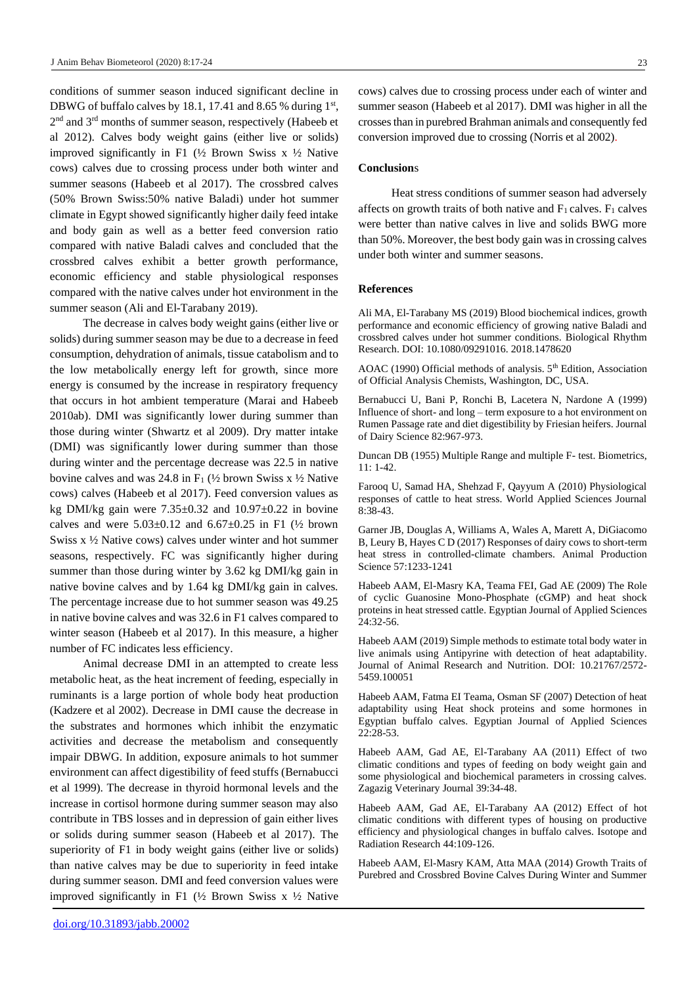conditions of summer season induced significant decline in DBWG of buffalo calves by 18.1, 17.41 and 8.65 % during  $1<sup>st</sup>$ , 2<sup>nd</sup> and 3<sup>rd</sup> months of summer season, respectively (Habeeb et al 2012). Calves body weight gains (either live or solids) improved significantly in F1 (½ Brown Swiss x ½ Native cows) calves due to crossing process under both winter and summer seasons (Habeeb et al 2017). The crossbred calves (50% Brown Swiss:50% native Baladi) under hot summer climate in Egypt showed significantly higher daily feed intake and body gain as well as a better feed conversion ratio compared with native Baladi calves and concluded that the crossbred calves exhibit a better growth performance, economic efficiency and stable physiological responses compared with the native calves under hot environment in the summer season [\(Ali](https://www.tandfonline.com/author/Ali%2C+Mohamed+A) and [El-Tarabany](https://www.tandfonline.com/author/El-Tarabany%2C+Mahmoud+S) 2019).

The decrease in calves body weight gains (either live or solids) during summer season may be due to a decrease in feed consumption, dehydration of animals, tissue catabolism and to the low metabolically energy left for growth, since more energy is consumed by the increase in respiratory frequency that occurs in hot ambient temperature (Marai and Habeeb 2010ab). DMI was significantly lower during summer than those during winter (Shwartz et al 2009). Dry matter intake (DMI) was significantly lower during summer than those during winter and the percentage decrease was 22.5 in native bovine calves and was 24.8 in  $F_1$  ( $\frac{1}{2}$  brown Swiss x  $\frac{1}{2}$  Native cows) calves (Habeeb et al 2017). Feed conversion values as kg DMI/kg gain were  $7.35\pm0.32$  and  $10.97\pm0.22$  in bovine calves and were  $5.03 \pm 0.12$  and  $6.67 \pm 0.25$  in F1 ( $\frac{1}{2}$  brown Swiss x ½ Native cows) calves under winter and hot summer seasons, respectively. FC was significantly higher during summer than those during winter by 3.62 kg DMI/kg gain in native bovine calves and by 1.64 kg DMI/kg gain in calves. The percentage increase due to hot summer season was 49.25 in native bovine calves and was 32.6 in F1 calves compared to winter season (Habeeb et al 2017). In this measure, a higher number of FC indicates less efficiency.

Animal decrease DMI in an attempted to create less metabolic heat, as the heat increment of feeding, especially in ruminants is a large portion of whole body heat production (Kadzere et al 2002). Decrease in DMI cause the decrease in the substrates and hormones which inhibit the enzymatic activities and decrease the metabolism and consequently impair DBWG. In addition, exposure animals to hot summer environment can affect digestibility of feed stuffs (Bernabucci et al 1999). The decrease in thyroid hormonal levels and the increase in cortisol hormone during summer season may also contribute in TBS losses and in depression of gain either lives or solids during summer season (Habeeb et al 2017). The superiority of F1 in body weight gains (either live or solids) than native calves may be due to superiority in feed intake during summer season. DMI and feed conversion values were improved significantly in F1 ( $\frac{1}{2}$  Brown Swiss x  $\frac{1}{2}$  Native

cows) calves due to crossing process under each of winter and summer season (Habeeb et al 2017). DMI was higher in all the crosses than in purebred Brahman animals and consequently fed conversion improved due to crossing (Norris et al 2002).

#### **Conclusion**s

Heat stress conditions of summer season had adversely affects on growth traits of both native and  $F_1$  calves.  $F_1$  calves were better than native calves in live and solids BWG more than 50%. Moreover, the best body gain was in crossing calves under both winter and summer seasons.

#### **References**

[Ali](https://www.tandfonline.com/author/Ali%2C+Mohamed+A) MA[, El-Tarabany](https://www.tandfonline.com/author/El-Tarabany%2C+Mahmoud+S) MS (2019) Blood biochemical indices, growth performance and economic efficiency of growing native Baladi and crossbred calves under hot summer conditions. [Biological Rhythm](https://www.tandfonline.com/toc/nbrr20/current)  [Research.](https://www.tandfonline.com/toc/nbrr20/current) DOI[: 10.1080/09291016. 2018.1478620](https://doi.org/10.1080/09291016.%202018.1478620)

AOAC (1990) Official methods of analysis. 5<sup>th</sup> Edition, Association of Official Analysis Chemists, Washington, DC, USA.

Bernabucci U, Bani P, Ronchi B, Lacetera N, Nardone A (1999) Influence of short- and long – term exposure to a hot environment on Rumen Passage rate and diet digestibility by Friesian heifers. Journal of Dairy Science 82:967-973.

Duncan DB (1955) Multiple Range and multiple F- test. Biometrics,  $11: 1-42.$ 

Farooq U, Samad HA, Shehzad F, Qayyum A (2010) Physiological responses of cattle to heat stress. World Applied Sciences Journal 8:38-43.

Garner JB, Douglas A, Williams A, Wales A, Marett A, DiGiacomo B, Leury B, Hayes C D (2017) Responses of dairy cows to short-term heat stress in controlled-climate chambers. Animal Production Science 57:1233-1241

Habeeb AAM, El-Masry KA, Teama FEI, Gad AE (2009) The Role of cyclic Guanosine Mono-Phosphate (cGMP) and heat shock proteins in heat stressed cattle. Egyptian Journal of Applied Sciences 24:32-56.

Habeeb AAM (2019) Simple methods to estimate total body water in live animals using Antipyrine with detection of heat adaptability. Journal of Animal Research and Nutrition. DOI: 10.21767/2572- 5459.100051

Habeeb AAM, Fatma EI Teama, Osman SF (2007) Detection of heat adaptability using Heat shock proteins and some hormones in Egyptian buffalo calves. Egyptian Journal of Applied Sciences 22:28-53.

Habeeb AAM, Gad AE, El-Tarabany AA (2011) Effect of two climatic conditions and types of feeding on body weight gain and some physiological and biochemical parameters in crossing calves. Zagazig Veterinary Journal 39:34-48.

Habeeb AAM, Gad AE, El-Tarabany AA (2012) Effect of hot climatic conditions with different types of housing on productive efficiency and physiological changes in buffalo calves. Isotope and Radiation Research 44:109-126.

Habeeb AAM, El-Masry KAM, Atta MAA (2014) Growth Traits of Purebred and Crossbred Bovine Calves During Winter and Summer